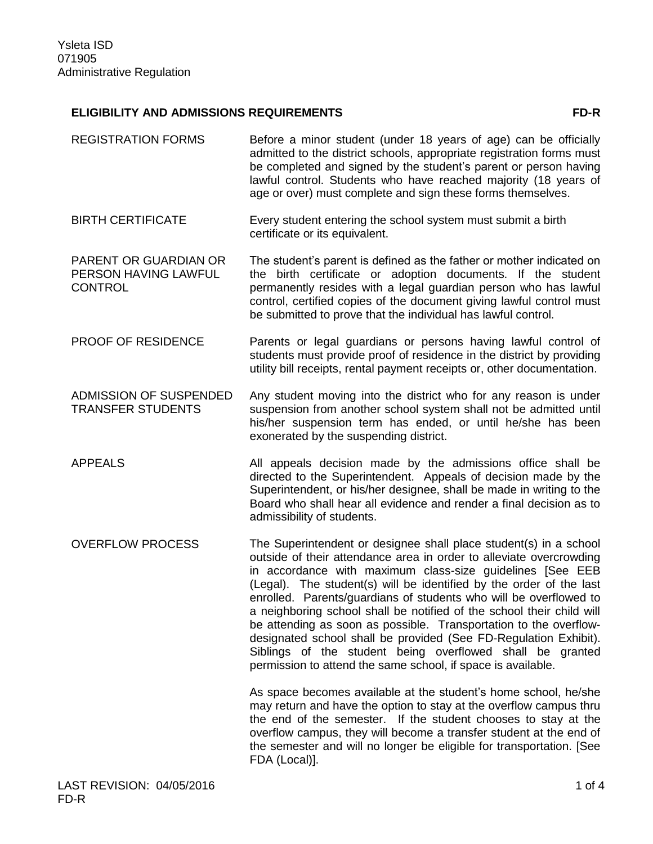## **ELIGIBILITY AND ADMISSIONS REQUIREMENTS FD-R**

- REGISTRATION FORMS Before a minor student (under 18 years of age) can be officially admitted to the district schools, appropriate registration forms must be completed and signed by the student's parent or person having lawful control. Students who have reached majority (18 years of age or over) must complete and sign these forms themselves.
- BIRTH CERTIFICATE Every student entering the school system must submit a birth certificate or its equivalent.
- PARENT OR GUARDIAN OR PERSON HAVING LAWFUL **CONTROL** The student's parent is defined as the father or mother indicated on the birth certificate or adoption documents. If the student permanently resides with a legal guardian person who has lawful control, certified copies of the document giving lawful control must be submitted to prove that the individual has lawful control.
- PROOF OF RESIDENCE Parents or legal guardians or persons having lawful control of students must provide proof of residence in the district by providing utility bill receipts, rental payment receipts or, other documentation.
- ADMISSION OF SUSPENDED TRANSFER STUDENTS Any student moving into the district who for any reason is under suspension from another school system shall not be admitted until his/her suspension term has ended, or until he/she has been exonerated by the suspending district.
- APPEALS All appeals decision made by the admissions office shall be directed to the Superintendent. Appeals of decision made by the Superintendent, or his/her designee, shall be made in writing to the Board who shall hear all evidence and render a final decision as to admissibility of students.
- OVERFLOW PROCESS The Superintendent or designee shall place student(s) in a school outside of their attendance area in order to alleviate overcrowding in accordance with maximum class-size guidelines [See EEB (Legal). The student(s) will be identified by the order of the last enrolled. Parents/guardians of students who will be overflowed to a neighboring school shall be notified of the school their child will be attending as soon as possible. Transportation to the overflowdesignated school shall be provided (See FD-Regulation Exhibit). Siblings of the student being overflowed shall be granted permission to attend the same school, if space is available.

As space becomes available at the student's home school, he/she may return and have the option to stay at the overflow campus thru the end of the semester. If the student chooses to stay at the overflow campus, they will become a transfer student at the end of the semester and will no longer be eligible for transportation. [See FDA (Local)].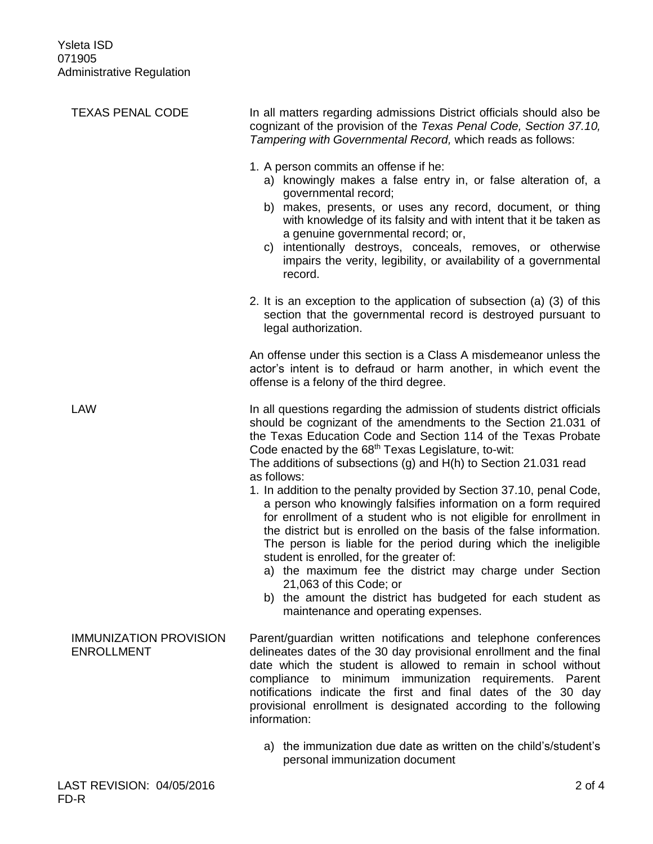| <b>TEXAS PENAL CODE</b>                            | In all matters regarding admissions District officials should also be<br>cognizant of the provision of the Texas Penal Code, Section 37.10,<br>Tampering with Governmental Record, which reads as follows:                                                                                                                                                                                                                                                                                                                                                                                                                                                                                                                   |
|----------------------------------------------------|------------------------------------------------------------------------------------------------------------------------------------------------------------------------------------------------------------------------------------------------------------------------------------------------------------------------------------------------------------------------------------------------------------------------------------------------------------------------------------------------------------------------------------------------------------------------------------------------------------------------------------------------------------------------------------------------------------------------------|
|                                                    | 1. A person commits an offense if he:<br>a) knowingly makes a false entry in, or false alteration of, a<br>governmental record;<br>b) makes, presents, or uses any record, document, or thing<br>with knowledge of its falsity and with intent that it be taken as<br>a genuine governmental record; or,<br>intentionally destroys, conceals, removes, or otherwise<br>C)<br>impairs the verity, legibility, or availability of a governmental<br>record.                                                                                                                                                                                                                                                                    |
|                                                    | 2. It is an exception to the application of subsection (a) (3) of this<br>section that the governmental record is destroyed pursuant to<br>legal authorization.                                                                                                                                                                                                                                                                                                                                                                                                                                                                                                                                                              |
|                                                    | An offense under this section is a Class A misdemeanor unless the<br>actor's intent is to defraud or harm another, in which event the<br>offense is a felony of the third degree.                                                                                                                                                                                                                                                                                                                                                                                                                                                                                                                                            |
| <b>LAW</b>                                         | In all questions regarding the admission of students district officials<br>should be cognizant of the amendments to the Section 21.031 of<br>the Texas Education Code and Section 114 of the Texas Probate<br>Code enacted by the 68 <sup>th</sup> Texas Legislature, to-wit:<br>The additions of subsections (g) and $H(h)$ to Section 21.031 read<br>as follows:<br>1. In addition to the penalty provided by Section 37.10, penal Code,<br>a person who knowingly falsifies information on a form required<br>for enrollment of a student who is not eligible for enrollment in<br>the district but is enrolled on the basis of the false information.<br>The person is liable for the period during which the ineligible |
|                                                    | student is enrolled, for the greater of:<br>a) the maximum fee the district may charge under Section<br>21,063 of this Code; or<br>b) the amount the district has budgeted for each student as<br>maintenance and operating expenses.                                                                                                                                                                                                                                                                                                                                                                                                                                                                                        |
| <b>IMMUNIZATION PROVISION</b><br><b>ENROLLMENT</b> | Parent/guardian written notifications and telephone conferences<br>delineates dates of the 30 day provisional enrollment and the final<br>date which the student is allowed to remain in school without<br>compliance to minimum immunization requirements. Parent<br>notifications indicate the first and final dates of the 30 day<br>provisional enrollment is designated according to the following<br>information:                                                                                                                                                                                                                                                                                                      |
|                                                    | a) the immunization due date as written on the child's/student's<br>personal immunization document                                                                                                                                                                                                                                                                                                                                                                                                                                                                                                                                                                                                                           |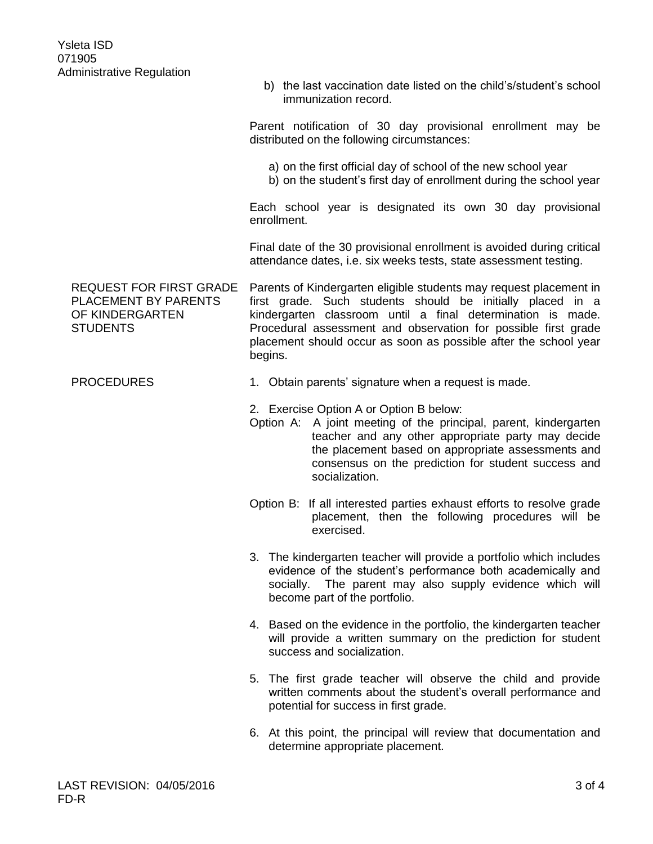b) the last vaccination date listed on the child's/student's school immunization record.

Parent notification of 30 day provisional enrollment may be distributed on the following circumstances:

- a) on the first official day of school of the new school year
- b) on the student's first day of enrollment during the school year

Each school year is designated its own 30 day provisional enrollment.

Final date of the 30 provisional enrollment is avoided during critical attendance dates, i.e. six weeks tests, state assessment testing.

REQUEST FOR FIRST GRADE PLACEMENT BY PARENTS OF KINDERGARTEN STUDENTS Parents of Kindergarten eligible students may request placement in first grade. Such students should be initially placed in a kindergarten classroom until a final determination is made. Procedural assessment and observation for possible first grade placement should occur as soon as possible after the school year begins.

PROCEDURES 1. Obtain parents' signature when a request is made.

2. Exercise Option A or Option B below:

- Option A: A joint meeting of the principal, parent, kindergarten teacher and any other appropriate party may decide the placement based on appropriate assessments and consensus on the prediction for student success and socialization.
- Option B: If all interested parties exhaust efforts to resolve grade placement, then the following procedures will be exercised.
- 3. The kindergarten teacher will provide a portfolio which includes evidence of the student's performance both academically and socially. The parent may also supply evidence which will become part of the portfolio.
- 4. Based on the evidence in the portfolio, the kindergarten teacher will provide a written summary on the prediction for student success and socialization.
- 5. The first grade teacher will observe the child and provide written comments about the student's overall performance and potential for success in first grade.
- 6. At this point, the principal will review that documentation and determine appropriate placement.